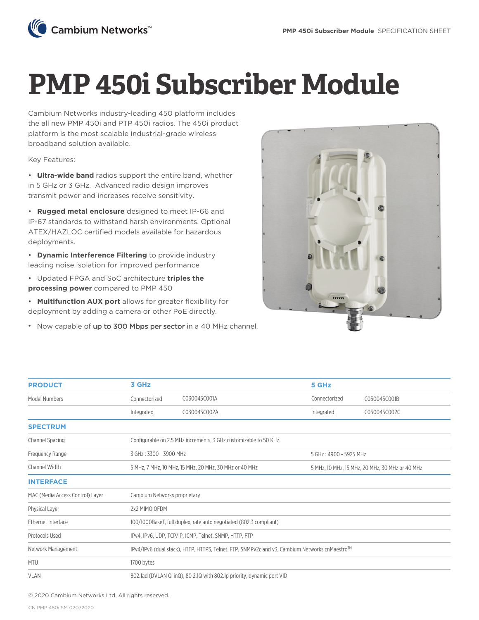

## **PMP 450i Subscriber Module**

Cambium Networks industry-leading 450 platform includes the all new PMP 450i and PTP 450i radios. The 450i product platform is the most scalable industrial-grade wireless broadband solution available.

Key Features:

• **Ultra-wide band** radios support the entire band, whether in 5 GHz or 3 GHz. Advanced radio design improves transmit power and increases receive sensitivity.

• **Rugged metal enclosure** designed to meet IP-66 and IP-67 standards to withstand harsh environments. Optional ATEX/HAZLOC certified models available for hazardous deployments.

• **Dynamic Interference Filtering** to provide industry leading noise isolation for improved performance

- Updated FPGA and SoC architecture **triples the processing power** compared to PMP 450
- **Multifunction AUX port** allows for greater flexibility for deployment by adding a camera or other PoE directly.
- Now capable of up to 300 Mbps per sector in a 40 MHz channel.



| <b>PRODUCT</b>                   | 3 GHz                                                                                         |              | 5 GHz                  |                                                 |  |
|----------------------------------|-----------------------------------------------------------------------------------------------|--------------|------------------------|-------------------------------------------------|--|
| Model Numbers                    | Connectorized                                                                                 | C030045C001A | Connectorized          | C050045C001B                                    |  |
|                                  | Integrated                                                                                    | C030045C002A | Integrated             | C050045C002C                                    |  |
| <b>SPECTRUM</b>                  |                                                                                               |              |                        |                                                 |  |
| Channel Spacing                  | Configurable on 2.5 MHz increments, 3 GHz customizable to 50 KHz                              |              |                        |                                                 |  |
| Frequency Range                  | 3 GHz: 3300 - 3900 MHz                                                                        |              | 5 GHz: 4900 - 5925 MHz |                                                 |  |
| Channel Width                    | 5 MHz, 7 MHz, 10 MHz, 15 MHz, 20 MHz, 30 MHz or 40 MHz                                        |              |                        | 5 MHz, 10 MHz, 15 MHz, 20 MHz, 30 MHz or 40 MHz |  |
| <b>INTERFACE</b>                 |                                                                                               |              |                        |                                                 |  |
| MAC (Media Access Control) Layer | Cambium Networks proprietary                                                                  |              |                        |                                                 |  |
| Physical Layer                   | 2x2 MIMO OFDM                                                                                 |              |                        |                                                 |  |
| Ethernet Interface               | 100/1000BaseT, full duplex, rate auto negotiated (802.3 compliant)                            |              |                        |                                                 |  |
| Protocols Used                   | IPv4, IPv6, UDP, TCP/IP, ICMP, Telnet, SNMP, HTTP, FTP                                        |              |                        |                                                 |  |
| Network Management               | IPv4/IPv6 (dual stack), HTTP, HTTPS, Telnet, FTP, SNMPv2c and v3, Cambium Networks cnMaestro™ |              |                        |                                                 |  |
| <b>MTU</b>                       | 1700 bytes                                                                                    |              |                        |                                                 |  |
| <b>VLAN</b>                      | 802.1ad (DVLAN Q-inQ), 80 2.1Q with 802.1p priority, dynamic port VID                         |              |                        |                                                 |  |

© 2020 Cambium Networks Ltd. All rights reserved.